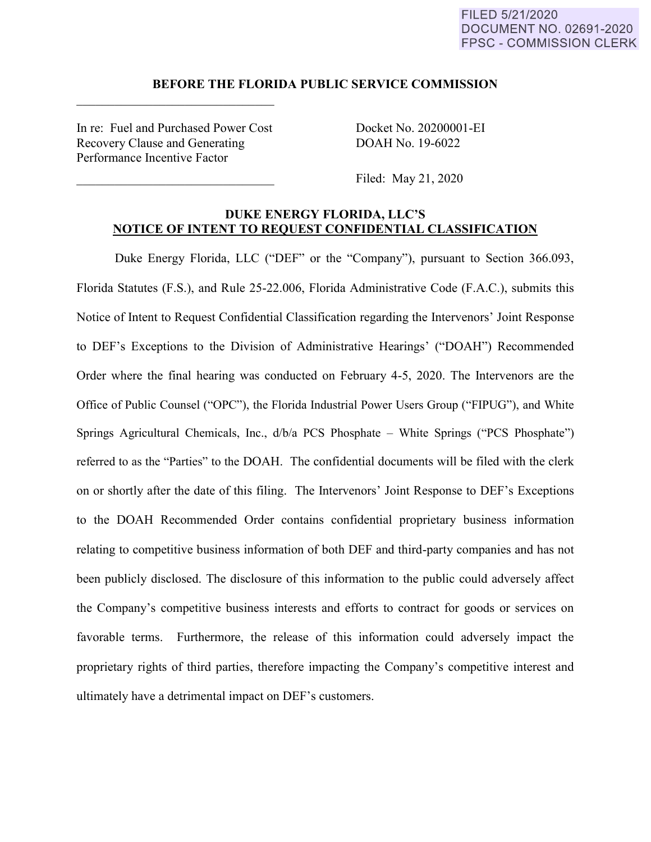## FILED 5/21/2020 DOCUMENT NO. 02691-2020 **FPSC - COMMISSION CLERK**

#### **BEFORE THE FLORIDA PUBLIC SERVICE COMMISSION**

In re: Fuel and Purchased Power Cost Docket No. 20200001-EI Recovery Clause and Generating DOAH No. 19-6022 Performance Incentive Factor

 $\mathcal{L}_\text{max}$  , where  $\mathcal{L}_\text{max}$  and  $\mathcal{L}_\text{max}$ 

Filed: May 21, 2020

# **DUKE ENERGY FLORIDA, LLC'S NOTICE OF INTENT TO REQUEST CONFIDENTIAL CLASSIFICATION**

Duke Energy Florida, LLC ("DEF" or the "Company"), pursuant to Section 366.093, Florida Statutes (F.S.), and Rule 25-22.006, Florida Administrative Code (F.A.C.), submits this Notice of Intent to Request Confidential Classification regarding the Intervenors' Joint Response to DEF's Exceptions to the Division of Administrative Hearings' ("DOAH") Recommended Order where the final hearing was conducted on February 4-5, 2020. The Intervenors are the Office of Public Counsel ("OPC"), the Florida Industrial Power Users Group ("FIPUG"), and White Springs Agricultural Chemicals, Inc., d/b/a PCS Phosphate – White Springs ("PCS Phosphate") referred to as the "Parties" to the DOAH. The confidential documents will be filed with the clerk on or shortly after the date of this filing. The Intervenors' Joint Response to DEF's Exceptions to the DOAH Recommended Order contains confidential proprietary business information relating to competitive business information of both DEF and third-party companies and has not been publicly disclosed. The disclosure of this information to the public could adversely affect the Company's competitive business interests and efforts to contract for goods or services on favorable terms. Furthermore, the release of this information could adversely impact the proprietary rights of third parties, therefore impacting the Company's competitive interest and ultimately have a detrimental impact on DEF's customers.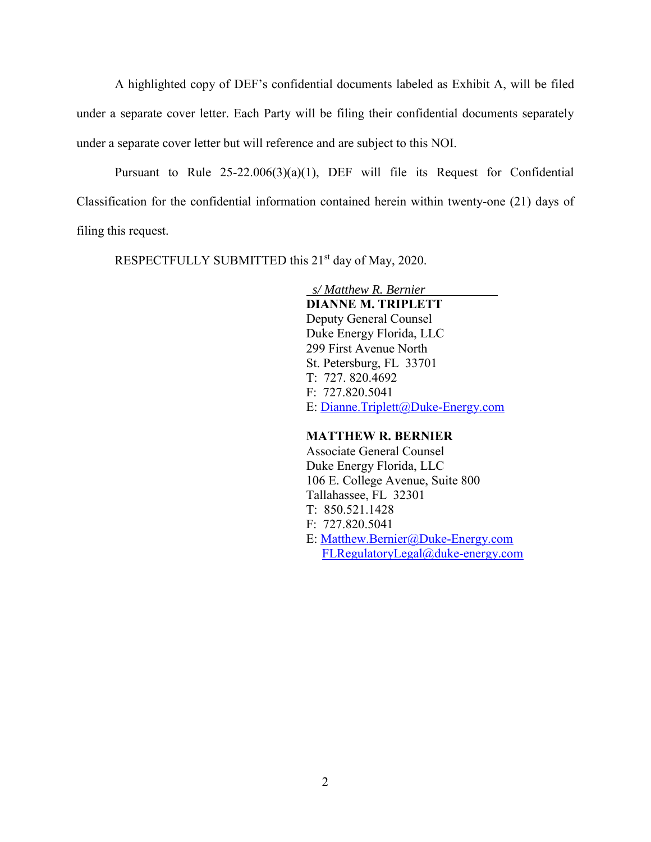A highlighted copy of DEF's confidential documents labeled as Exhibit A, will be filed under a separate cover letter. Each Party will be filing their confidential documents separately under a separate cover letter but will reference and are subject to this NOI.

Pursuant to Rule 25-22.006(3)(a)(1), DEF will file its Request for Confidential Classification for the confidential information contained herein within twenty-one (21) days of filing this request.

RESPECTFULLY SUBMITTED this 21<sup>st</sup> day of May, 2020.

 *s/ Matthew R. Bernier* **DIANNE M. TRIPLETT** Deputy General Counsel Duke Energy Florida, LLC 299 First Avenue North St. Petersburg, FL 33701 T: 727. 820.4692 F: 727.820.5041 E: Dianne.Triplett@Duke-Energy.com

## **MATTHEW R. BERNIER**

Associate General Counsel Duke Energy Florida, LLC 106 E. College Avenue, Suite 800 Tallahassee, FL 32301 T: 850.521.1428 F: 727.820.5041 E: Matthew.Bernier@Duke-Energy.com FLRegulatoryLegal@duke-energy.com